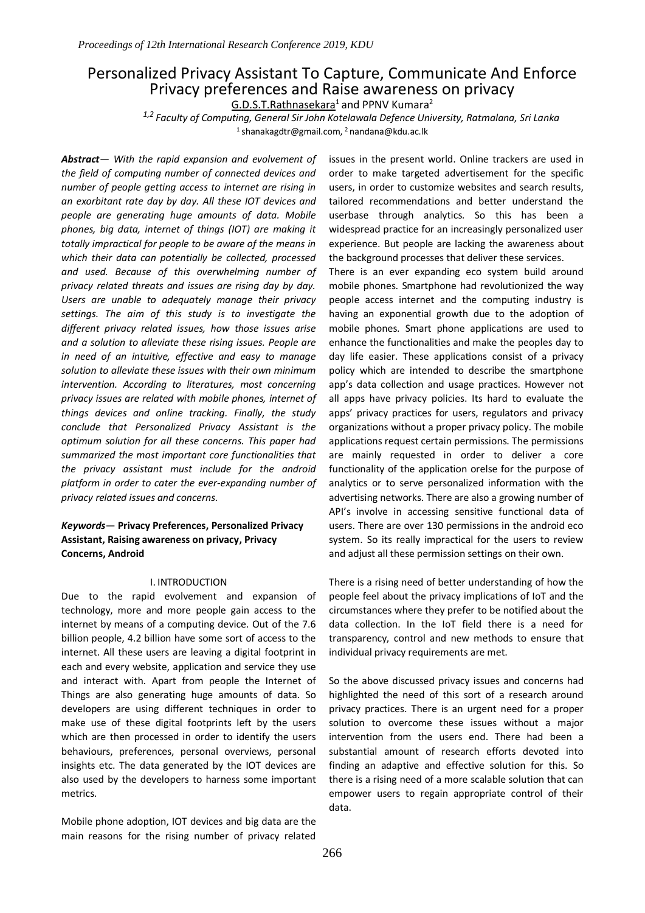# Personalized Privacy Assistant To Capture, Communicate And Enforce Privacy preferences and Raise awareness on privacy

 $G.D.S.T.Rathnasekara<sup>1</sup>$  and PPNV Kumara<sup>2</sup>

*1,2 Faculty of Computing, General Sir John Kotelawala Defence University, Ratmalana, Sri Lanka* <sup>1</sup>shanakagdtr@gmail.com, <sup>2</sup>nandana@kdu.ac.lk

*Abstract— With the rapid expansion and evolvement of the field of computing number of connected devices and number of people getting access to internet are rising in an exorbitant rate day by day. All these IOT devices and people are generating huge amounts of data. Mobile phones, big data, internet of things (IOT) are making it totally impractical for people to be aware of the means in which their data can potentially be collected, processed and used. Because of this overwhelming number of privacy related threats and issues are rising day by day. Users are unable to adequately manage their privacy settings. The aim of this study is to investigate the different privacy related issues, how those issues arise and a solution to alleviate these rising issues. People are in need of an intuitive, effective and easy to manage solution to alleviate these issues with their own minimum intervention. According to literatures, most concerning privacy issues are related with mobile phones, internet of things devices and online tracking. Finally, the study conclude that Personalized Privacy Assistant is the optimum solution for all these concerns. This paper had summarized the most important core functionalities that the privacy assistant must include for the android platform in order to cater the ever-expanding number of privacy related issues and concerns.*

# *Keywords*— **Privacy Preferences, Personalized Privacy Assistant, Raising awareness on privacy, Privacy Concerns, Android**

#### I. INTRODUCTION

Due to the rapid evolvement and expansion of technology, more and more people gain access to the internet by means of a computing device. Out of the 7.6 billion people, 4.2 billion have some sort of access to the internet. All these users are leaving a digital footprint in each and every website, application and service they use and interact with. Apart from people the Internet of Things are also generating huge amounts of data. So developers are using different techniques in order to make use of these digital footprints left by the users which are then processed in order to identify the users behaviours, preferences, personal overviews, personal insights etc. The data generated by the IOT devices are also used by the developers to harness some important metrics.

Mobile phone adoption, IOT devices and big data are the main reasons for the rising number of privacy related issues in the present world. Online trackers are used in order to make targeted advertisement for the specific users, in order to customize websites and search results, tailored recommendations and better understand the userbase through analytics. So this has been a widespread practice for an increasingly personalized user experience. But people are lacking the awareness about the background processes that deliver these services.

There is an ever expanding eco system build around mobile phones. Smartphone had revolutionized the way people access internet and the computing industry is having an exponential growth due to the adoption of mobile phones. Smart phone applications are used to enhance the functionalities and make the peoples day to day life easier. These applications consist of a privacy policy which are intended to describe the smartphone app's data collection and usage practices. However not all apps have privacy policies. Its hard to evaluate the apps' privacy practices for users, regulators and privacy organizations without a proper privacy policy. The mobile applications request certain permissions. The permissions are mainly requested in order to deliver a core functionality of the application orelse for the purpose of analytics or to serve personalized information with the advertising networks. There are also a growing number of API's involve in accessing sensitive functional data of users. There are over 130 permissions in the android eco system. So its really impractical for the users to review and adjust all these permission settings on their own.

There is a rising need of better understanding of how the people feel about the privacy implications of IoT and the circumstances where they prefer to be notified about the data collection. In the IoT field there is a need for transparency, control and new methods to ensure that individual privacy requirements are met.

So the above discussed privacy issues and concerns had highlighted the need of this sort of a research around privacy practices. There is an urgent need for a proper solution to overcome these issues without a major intervention from the users end. There had been a substantial amount of research efforts devoted into finding an adaptive and effective solution for this. So there is a rising need of a more scalable solution that can empower users to regain appropriate control of their data.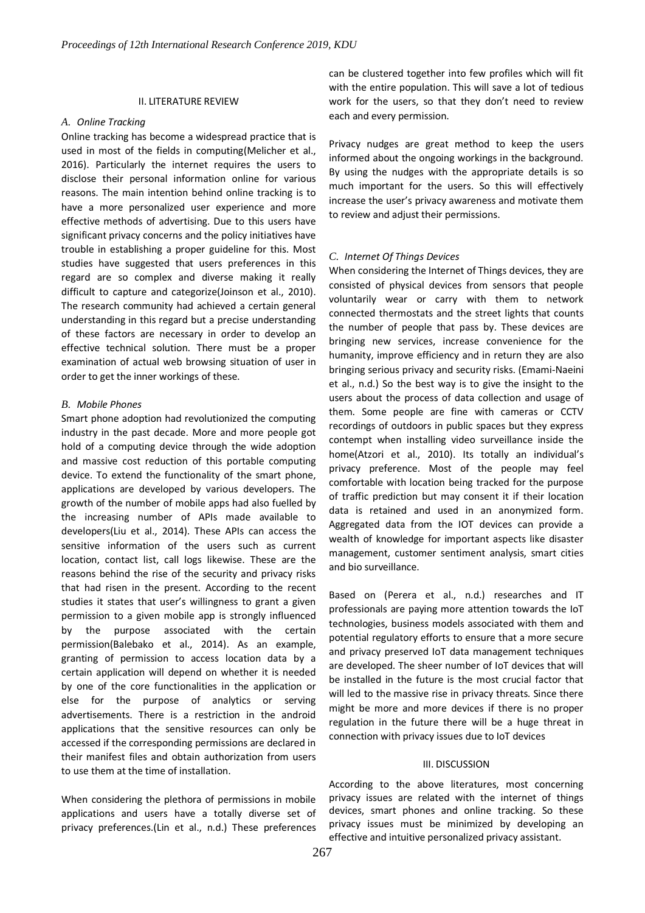## II. LITERATURE REVIEW

### *A. Online Tracking*

Online tracking has become a widespread practice that is used in most of the fields in computing(Melicher et al., 2016). Particularly the internet requires the users to disclose their personal information online for various reasons. The main intention behind online tracking is to have a more personalized user experience and more effective methods of advertising. Due to this users have significant privacy concerns and the policy initiatives have trouble in establishing a proper guideline for this. Most studies have suggested that users preferences in this regard are so complex and diverse making it really difficult to capture and categorize(Joinson et al., 2010). The research community had achieved a certain general understanding in this regard but a precise understanding of these factors are necessary in order to develop an effective technical solution. There must be a proper examination of actual web browsing situation of user in order to get the inner workings of these.

## *B. Mobile Phones*

Smart phone adoption had revolutionized the computing industry in the past decade. More and more people got hold of a computing device through the wide adoption and massive cost reduction of this portable computing device. To extend the functionality of the smart phone, applications are developed by various developers. The growth of the number of mobile apps had also fuelled by the increasing number of APIs made available to developers(Liu et al., 2014). These APIs can access the sensitive information of the users such as current location, contact list, call logs likewise. These are the reasons behind the rise of the security and privacy risks that had risen in the present. According to the recent studies it states that user's willingness to grant a given permission to a given mobile app is strongly influenced by the purpose associated with the certain permission(Balebako et al., 2014). As an example, granting of permission to access location data by a certain application will depend on whether it is needed by one of the core functionalities in the application or else for the purpose of analytics or serving advertisements. There is a restriction in the android applications that the sensitive resources can only be accessed if the corresponding permissions are declared in their manifest files and obtain authorization from users to use them at the time of installation.

When considering the plethora of permissions in mobile applications and users have a totally diverse set of privacy preferences.(Lin et al., n.d.) These preferences can be clustered together into few profiles which will fit with the entire population. This will save a lot of tedious work for the users, so that they don't need to review each and every permission.

Privacy nudges are great method to keep the users informed about the ongoing workings in the background. By using the nudges with the appropriate details is so much important for the users. So this will effectively increase the user's privacy awareness and motivate them to review and adjust their permissions.

## *C. Internet Of Things Devices*

When considering the Internet of Things devices, they are consisted of physical devices from sensors that people voluntarily wear or carry with them to network connected thermostats and the street lights that counts the number of people that pass by. These devices are bringing new services, increase convenience for the humanity, improve efficiency and in return they are also bringing serious privacy and security risks. (Emami-Naeini et al., n.d.) So the best way is to give the insight to the users about the process of data collection and usage of them. Some people are fine with cameras or CCTV recordings of outdoors in public spaces but they express contempt when installing video surveillance inside the home(Atzori et al., 2010). Its totally an individual's privacy preference. Most of the people may feel comfortable with location being tracked for the purpose of traffic prediction but may consent it if their location data is retained and used in an anonymized form. Aggregated data from the IOT devices can provide a wealth of knowledge for important aspects like disaster management, customer sentiment analysis, smart cities and bio surveillance.

Based on (Perera et al., n.d.) researches and IT professionals are paying more attention towards the IoT technologies, business models associated with them and potential regulatory efforts to ensure that a more secure and privacy preserved IoT data management techniques are developed. The sheer number of IoT devices that will be installed in the future is the most crucial factor that will led to the massive rise in privacy threats. Since there might be more and more devices if there is no proper regulation in the future there will be a huge threat in connection with privacy issues due to IoT devices

## III. DISCUSSION

According to the above literatures, most concerning privacy issues are related with the internet of things devices, smart phones and online tracking. So these privacy issues must be minimized by developing an effective and intuitive personalized privacy assistant.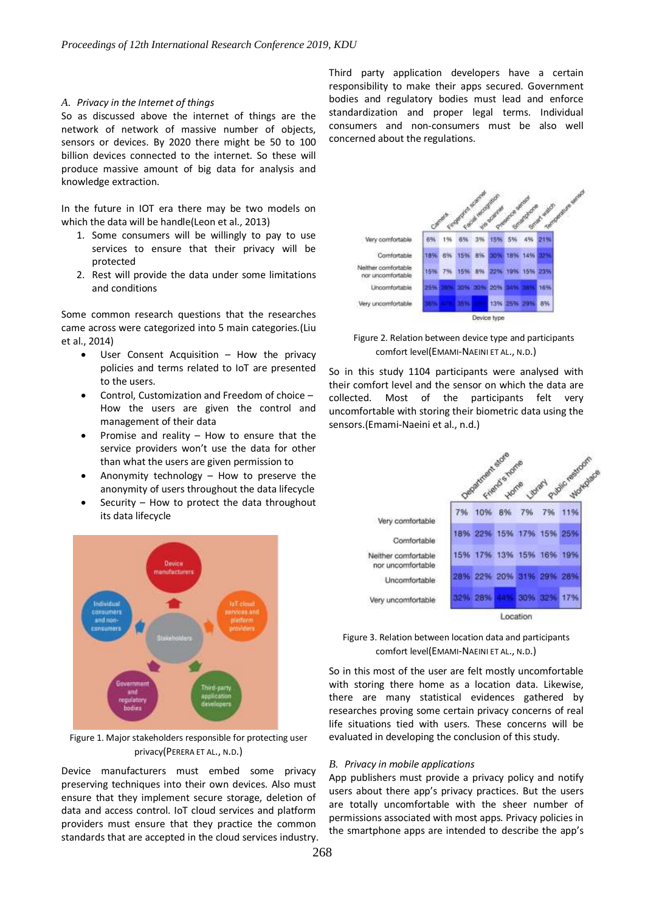#### *A. Privacy in the Internet of things*

So as discussed above the internet of things are the network of network of massive number of objects, sensors or devices. By 2020 there might be 50 to 100 billion devices connected to the internet. So these will produce massive amount of big data for analysis and knowledge extraction.

In the future in IOT era there may be two models on which the data will be handle(Leon et al., 2013)

- 1. Some consumers will be willingly to pay to use services to ensure that their privacy will be protected
- 2. Rest will provide the data under some limitations and conditions

Some common research questions that the researches came across were categorized into 5 main categories.(Liu et al., 2014)

- User Consent Acquisition How the privacy policies and terms related to IoT are presented to the users.
- Control, Customization and Freedom of choice How the users are given the control and management of their data
- Promise and reality How to ensure that the service providers won't use the data for other than what the users are given permission to
- Anonymity technology How to preserve the anonymity of users throughout the data lifecycle
- Security  $-$  How to protect the data throughout its data lifecycle



Figure 1. Major stakeholders responsible for protecting user privacy(PERERA ET AL., N.D.)

Device manufacturers must embed some privacy preserving techniques into their own devices. Also must ensure that they implement secure storage, deletion of data and access control. IoT cloud services and platform providers must ensure that they practice the common standards that are accepted in the cloud services industry. Third party application developers have a certain responsibility to make their apps secured. Government bodies and regulatory bodies must lead and enforce standardization and proper legal terms. Individual consumers and non-consumers must be also well concerned about the regulations.



 Figure 2. Relation between device type and participants comfort level(EMAMI-NAEINI ET AL., N.D.)

So in this study 1104 participants were analysed with their comfort level and the sensor on which the data are collected. Most of the participants felt very uncomfortable with storing their biometric data using the sensors.(Emami-Naeini et al., n.d.)



Figure 3. Relation between location data and participants comfort level(EMAMI-NAEINI ET AL., N.D.)

So in this most of the user are felt mostly uncomfortable with storing there home as a location data. Likewise, there are many statistical evidences gathered by researches proving some certain privacy concerns of real life situations tied with users. These concerns will be evaluated in developing the conclusion of this study.

# *B. Privacy in mobile applications*

App publishers must provide a privacy policy and notify users about there app's privacy practices. But the users are totally uncomfortable with the sheer number of permissions associated with most apps. Privacy policies in the smartphone apps are intended to describe the app's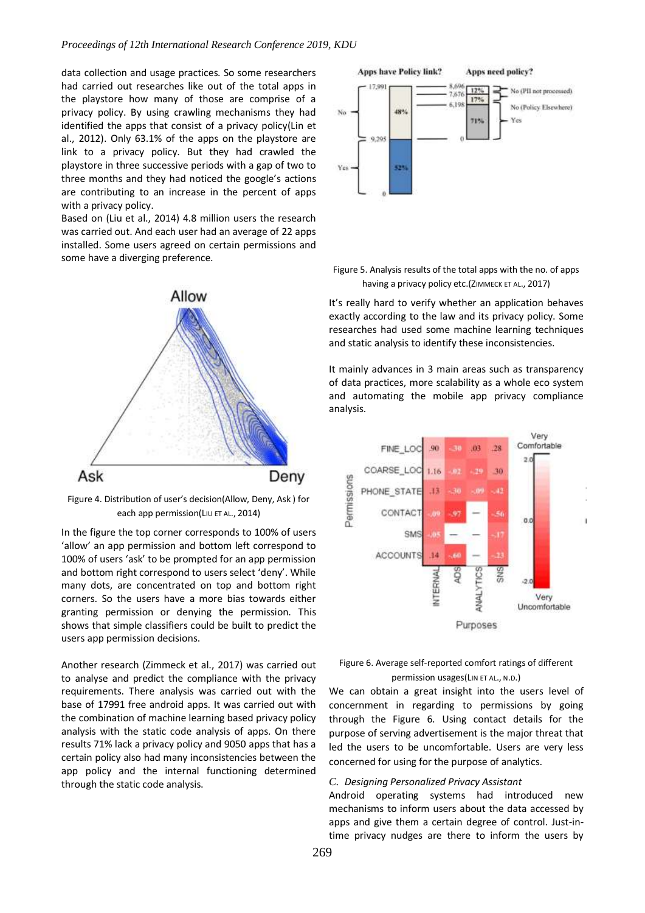## *Proceedings of 12th International Research Conference 2019, KDU*

data collection and usage practices. So some researchers had carried out researches like out of the total apps in the playstore how many of those are comprise of a privacy policy. By using crawling mechanisms they had identified the apps that consist of a privacy policy(Lin et al., 2012). Only 63.1% of the apps on the playstore are link to a privacy policy. But they had crawled the playstore in three successive periods with a gap of two to three months and they had noticed the google's actions are contributing to an increase in the percent of apps with a privacy policy.

Based on (Liu et al., 2014) 4.8 million users the research was carried out. And each user had an average of 22 apps installed. Some users agreed on certain permissions and some have a diverging preference.



Figure 4. Distribution of user's decision(Allow, Deny, Ask ) for each app permission(LIU ET AL., 2014)

In the figure the top corner corresponds to 100% of users 'allow' an app permission and bottom left correspond to 100% of users 'ask' to be prompted for an app permission and bottom right correspond to users select 'deny'. While many dots, are concentrated on top and bottom right corners. So the users have a more bias towards either granting permission or denying the permission. This shows that simple classifiers could be built to predict the users app permission decisions.

Another research (Zimmeck et al., 2017) was carried out to analyse and predict the compliance with the privacy requirements. There analysis was carried out with the base of 17991 free android apps. It was carried out with the combination of machine learning based privacy policy analysis with the static code analysis of apps. On there results 71% lack a privacy policy and 9050 apps that has a certain policy also had many inconsistencies between the app policy and the internal functioning determined through the static code analysis.



Figure 5. Analysis results of the total apps with the no. of apps having a privacy policy etc.(ZIMMECK ET AL., 2017)

It's really hard to verify whether an application behaves exactly according to the law and its privacy policy. Some researches had used some machine learning techniques and static analysis to identify these inconsistencies.

It mainly advances in 3 main areas such as transparency of data practices, more scalability as a whole eco system and automating the mobile app privacy compliance analysis.



Figure 6. Average self-reported comfort ratings of different permission usages(LIN ET AL., N.D.)

We can obtain a great insight into the users level of concernment in regarding to permissions by going through the Figure 6. Using contact details for the purpose of serving advertisement is the major threat that led the users to be uncomfortable. Users are very less concerned for using for the purpose of analytics.

## *C. Designing Personalized Privacy Assistant*

Android operating systems had introduced new mechanisms to inform users about the data accessed by apps and give them a certain degree of control. Just-intime privacy nudges are there to inform the users by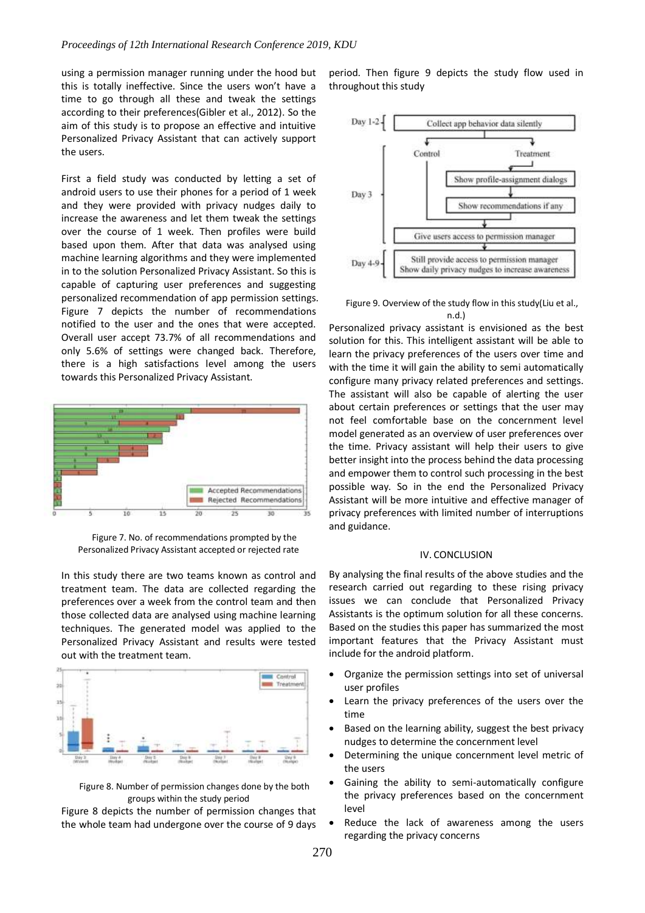using a permission manager running under the hood but this is totally ineffective. Since the users won't have a time to go through all these and tweak the settings according to their preferences(Gibler et al., 2012). So the aim of this study is to propose an effective and intuitive Personalized Privacy Assistant that can actively support the users.

First a field study was conducted by letting a set of android users to use their phones for a period of 1 week and they were provided with privacy nudges daily to increase the awareness and let them tweak the settings over the course of 1 week. Then profiles were build based upon them. After that data was analysed using machine learning algorithms and they were implemented in to the solution Personalized Privacy Assistant. So this is capable of capturing user preferences and suggesting personalized recommendation of app permission settings. Figure 7 depicts the number of recommendations notified to the user and the ones that were accepted. Overall user accept 73.7% of all recommendations and only 5.6% of settings were changed back. Therefore, there is a high satisfactions level among the users towards this Personalized Privacy Assistant.



Figure 7. No. of recommendations prompted by the Personalized Privacy Assistant accepted or rejected rate

In this study there are two teams known as control and treatment team. The data are collected regarding the preferences over a week from the control team and then those collected data are analysed using machine learning techniques. The generated model was applied to the Personalized Privacy Assistant and results were tested out with the treatment team.



Figure 8. Number of permission changes done by the both groups within the study period

Figure 8 depicts the number of permission changes that the whole team had undergone over the course of 9 days period. Then figure 9 depicts the study flow used in throughout this study



Figure 9. Overview of the study flow in this study(Liu et al., n.d.)

Personalized privacy assistant is envisioned as the best solution for this. This intelligent assistant will be able to learn the privacy preferences of the users over time and with the time it will gain the ability to semi automatically configure many privacy related preferences and settings. The assistant will also be capable of alerting the user about certain preferences or settings that the user may not feel comfortable base on the concernment level model generated as an overview of user preferences over the time. Privacy assistant will help their users to give better insight into the process behind the data processing and empower them to control such processing in the best possible way. So in the end the Personalized Privacy Assistant will be more intuitive and effective manager of privacy preferences with limited number of interruptions and guidance.

## IV. CONCLUSION

By analysing the final results of the above studies and the research carried out regarding to these rising privacy issues we can conclude that Personalized Privacy Assistants is the optimum solution for all these concerns. Based on the studies this paper has summarized the most important features that the Privacy Assistant must include for the android platform.

- Organize the permission settings into set of universal user profiles
- Learn the privacy preferences of the users over the time
- Based on the learning ability, suggest the best privacy nudges to determine the concernment level
- Determining the unique concernment level metric of the users
- Gaining the ability to semi-automatically configure the privacy preferences based on the concernment level
- Reduce the lack of awareness among the users regarding the privacy concerns